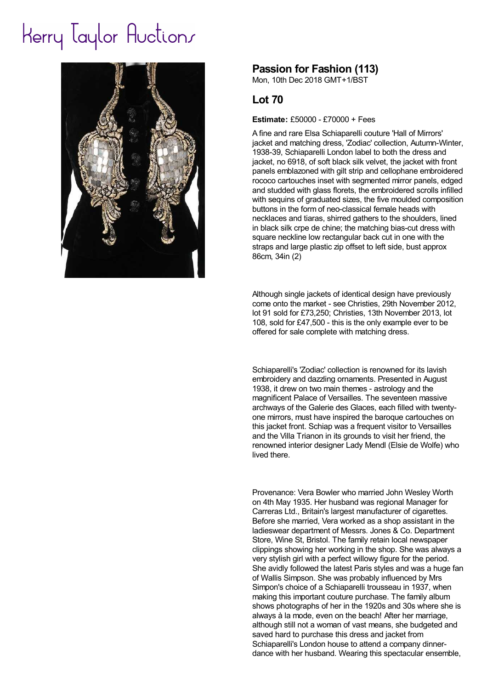## Herry laylor Auctions



## **Passion for Fashion (113)**

Mon, 10th Dec 2018 GMT+1/BST

## **Lot 70**

## **Estimate:** £50000 - £70000 + Fees

A fine and rare Elsa Schiaparelli couture 'Hall of Mirrors' jacket and matching dress, 'Zodiac' collection, Autumn-Winter, 1938-39, Schiaparelli London label to both the dress and jacket, no 6918, of soft black silk velvet, the jacket with front panels emblazoned with gilt strip and cellophane embroidered rococo cartouches inset with segmented mirror panels, edged and studded with glass florets, the embroidered scrolls infilled with sequins of graduated sizes, the five moulded composition buttons in the form of neo-classical female heads with necklaces and tiaras, shirred gathers to the shoulders, lined in black silk crpe de chine; the matching bias-cut dress with square neckline low rectangular back cut in one with the straps and large plastic zip offset to left side, bust approx 86cm, 34in (2)

Although single jackets of identical design have previously come onto the market - see Christies, 29th November 2012, lot 91 sold for £73,250; Christies, 13th November 2013, lot 108, sold for £47,500 - this is the only example ever to be offered for sale complete with matching dress.

Schiaparelli's 'Zodiac' collection is renowned for its lavish embroidery and dazzling ornaments. Presented in August 1938, it drew on two main themes - astrology and the magnificent Palace of Versailles. The seventeen massive archways of the Galerie des Glaces, each filled with twentyone mirrors, must have inspired the baroque cartouches on this jacket front. Schiap was a frequent visitor to Versailles and the Villa Trianon in its grounds to visit her friend, the renowned interior designer Lady Mendl (Elsie de Wolfe) who lived there.

Provenance: Vera Bowler who married John Wesley Worth on 4th May 1935. Her husband was regional Manager for Carreras Ltd., Britain's largest manufacturer of cigarettes. Before she married, Vera worked as a shop assistant in the ladieswear department of Messrs. Jones & Co. Department Store, Wine St, Bristol. The family retain local newspaper clippings showing her working in the shop. She was always a very stylish girl with a perfect willowy figure for the period. She avidly followed the latest Paris styles and was a huge fan of Wallis Simpson. She was probably influenced by Mrs Simpon's choice of a Schiaparelli trousseau in 1937, when making this important couture purchase. The family album shows photographs of her in the 1920s and 30s where she is always à la mode, even on the beach! After her marriage, although still not a woman of vast means, she budgeted and saved hard to purchase this dress and jacket from Schiaparelli's London house to attend a company dinnerdance with her husband. Wearing this spectacular ensemble,